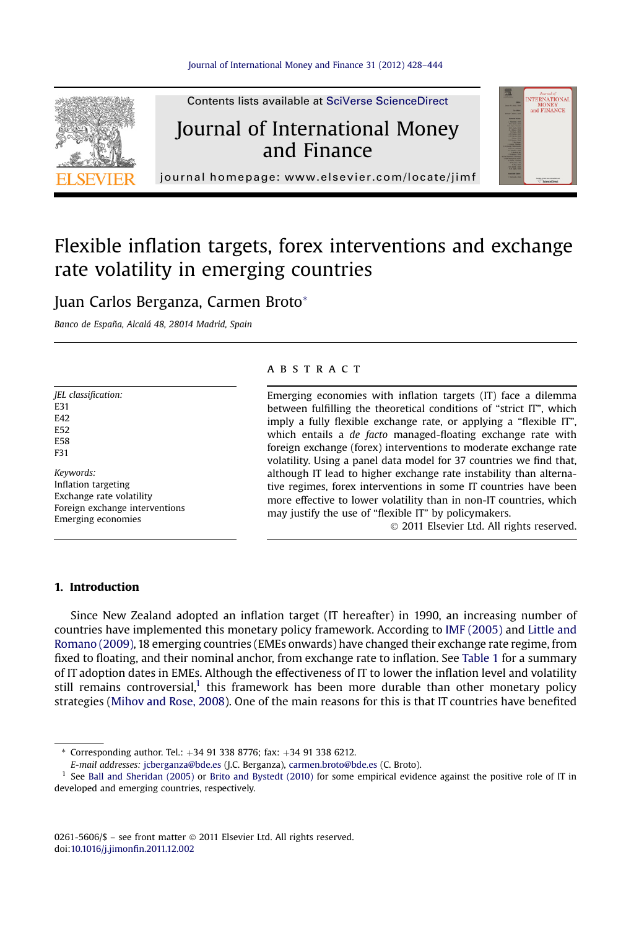

Contents lists available at SciVerse ScienceDirect

## Journal of International Money and Finance



journal homepage:<www.elsevier.com/locate/jimf>

# Flexible inflation targets, forex interventions and exchange rate volatility in emerging countries

### Juan Carlos Berganza, Carmen Broto\*

Banco de España, Alcalá 48, 28014 Madrid, Spain

#### JEL classification: E31 E42 E52 E58 F31 Keywords: Inflation targeting Exchange rate volatility Foreign exchange interventions Emerging economies

#### **ABSTRACT**

Emerging economies with inflation targets (IT) face a dilemma between fulfilling the theoretical conditions of "strict IT", which imply a fully flexible exchange rate, or applying a "flexible IT", which entails a de facto managed-floating exchange rate with foreign exchange (forex) interventions to moderate exchange rate volatility. Using a panel data model for 37 countries we find that, although IT lead to higher exchange rate instability than alternative regimes, forex interventions in some IT countries have been more effective to lower volatility than in non-IT countries, which may justify the use of "flexible IT" by policymakers.

2011 Elsevier Ltd. All rights reserved.

#### 1. Introduction

Since New Zealand adopted an inflation target (IT hereafter) in 1990, an increasing number of countries have implemented this monetary policy framework. According to [IMF \(2005\)](#page--1-0) and [Little and](#page--1-0) [Romano \(2009\),](#page--1-0) 18 emerging countries (EMEs onwards) have changed their exchange rate regime, from fixed to floating, and their nominal anchor, from exchange rate to inflation. See [Table 1](#page-1-0) for a summary of IT adoption dates in EMEs. Although the effectiveness of IT to lower the inflation level and volatility still remains controversial,<sup>1</sup> this framework has been more durable than other monetary policy strategies [\(Mihov and Rose, 2008\)](#page--1-0). One of the main reasons for this is that IT countries have benefited

 $*$  Corresponding author. Tel.:  $+34$  91 338 8776; fax:  $+34$  91 338 6212.

E-mail addresses: [jcberganza@bde.es](mailto:jcberganza@bde.es) (J.C. Berganza), [carmen.broto@bde.es](mailto:carmen.broto@bde.es) (C. Broto).

<sup>&</sup>lt;sup>1</sup> See [Ball and Sheridan \(2005\)](#page--1-0) or [Brito and Bystedt \(2010\)](#page--1-0) for some empirical evidence against the positive role of IT in developed and emerging countries, respectively.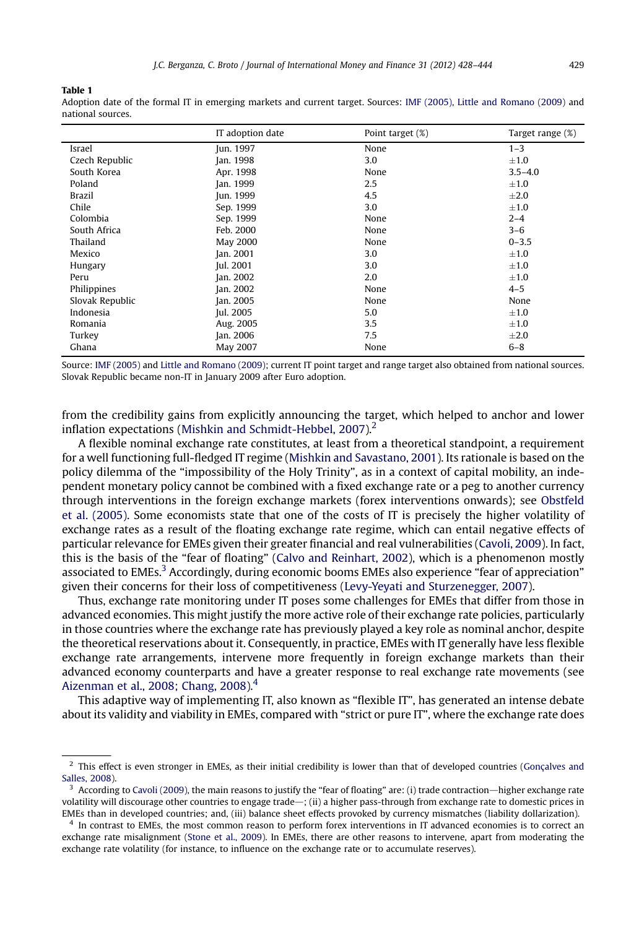<span id="page-1-0"></span>Table 1

Adoption date of the formal IT in emerging markets and current target. Sources: [IMF \(2005\), Little and Romano \(2009\)](#page--1-0) and national sources.

|                 | IT adoption date | Point target (%) | Target range (%) |
|-----------------|------------------|------------------|------------------|
| Israel          | Jun. 1997        | None             | $1 - 3$          |
| Czech Republic  | Jan. 1998        | 3.0              | $\pm 1.0$        |
| South Korea     | Apr. 1998        | None             | $3.5 - 4.0$      |
| Poland          | Jan. 1999        | 2.5              | $\pm 1.0$        |
| <b>Brazil</b>   | Jun. 1999        | 4.5              | $\pm 2.0$        |
| Chile           | Sep. 1999        | 3.0              | $\pm 1.0$        |
| Colombia        | Sep. 1999        | None             | $2 - 4$          |
| South Africa    | Feb. 2000        | None             | $3 - 6$          |
| Thailand        | <b>May 2000</b>  | None             | $0 - 3.5$        |
| Mexico          | Jan. 2001        | 3.0              | $\pm 1.0$        |
| Hungary         | Jul. 2001        | 3.0              | $\pm 1.0$        |
| Peru            | Jan. 2002        | 2.0              | $\pm 1.0$        |
| Philippines     | Jan. 2002        | None             | $4 - 5$          |
| Slovak Republic | Jan. 2005        | None             | None             |
| Indonesia       | Jul. 2005        | 5.0              | $\pm 1.0$        |
| Romania         | Aug. 2005        | 3.5              | $\pm 1.0$        |
| Turkey          | Jan. 2006        | 7.5              | $\pm 2.0$        |
| Ghana           | May 2007         | None             | $6 - 8$          |

Source: [IMF \(2005\)](#page--1-0) and [Little and Romano \(2009\);](#page--1-0) current IT point target and range target also obtained from national sources. Slovak Republic became non-IT in January 2009 after Euro adoption.

from the credibility gains from explicitly announcing the target, which helped to anchor and lower inflation expectations (Mishkin and Schmidt-Hebbel,  $2007$ ).<sup>2</sup>

A flexible nominal exchange rate constitutes, at least from a theoretical standpoint, a requirement for a well functioning full-fledged IT regime ([Mishkin and Savastano, 2001](#page--1-0)). Its rationale is based on the policy dilemma of the "impossibility of the Holy Trinity", as in a context of capital mobility, an independent monetary policy cannot be combined with a fixed exchange rate or a peg to another currency through interventions in the foreign exchange markets (forex interventions onwards); see [Obstfeld](#page--1-0) [et al. \(2005\).](#page--1-0) Some economists state that one of the costs of IT is precisely the higher volatility of exchange rates as a result of the floating exchange rate regime, which can entail negative effects of particular relevance for EMEs given their greater financial and real vulnerabilities ([Cavoli, 2009](#page--1-0)). In fact, this is the basis of the "fear of floating" ([Calvo and Reinhart, 2002](#page--1-0)), which is a phenomenon mostly associated to EMEs.<sup>3</sup> Accordingly, during economic booms EMEs also experience "fear of appreciation" given their concerns for their loss of competitiveness [\(Levy-Yeyati and Sturzenegger, 2007\)](#page--1-0).

Thus, exchange rate monitoring under IT poses some challenges for EMEs that differ from those in advanced economies. This might justify the more active role of their exchange rate policies, particularly in those countries where the exchange rate has previously played a key role as nominal anchor, despite the theoretical reservations about it. Consequently, in practice, EMEs with IT generally have less flexible exchange rate arrangements, intervene more frequently in foreign exchange markets than their advanced economy counterparts and have a greater response to real exchange rate movements (see [Aizenman et al., 2008; Chang, 2008](#page--1-0)).<sup>4</sup>

This adaptive way of implementing IT, also known as "flexible IT", has generated an intense debate about its validity and viability in EMEs, compared with "strict or pure IT", where the exchange rate does

<sup>&</sup>lt;sup>2</sup> This effect is even stronger in EMEs, as their initial credibility is lower than that of developed countries ([Gonçalves and](#page--1-0) [Salles, 2008\)](#page--1-0).

 $3$  According to [Cavoli \(2009\)](#page--1-0), the main reasons to justify the "fear of floating" are: (i) trade contraction—higher exchange rate volatility will discourage other countries to engage trade—; (ii) a higher pass-through from exchange rate to domestic prices in EMEs than in developed countries; and, (iii) balance sheet effects provoked by currency mismatches (liability dollarization).

<sup>&</sup>lt;sup>4</sup> In contrast to EMEs, the most common reason to perform forex interventions in IT advanced economies is to correct an exchange rate misalignment [\(Stone et al., 2009\)](#page--1-0). In EMEs, there are other reasons to intervene, apart from moderating the exchange rate volatility (for instance, to influence on the exchange rate or to accumulate reserves).